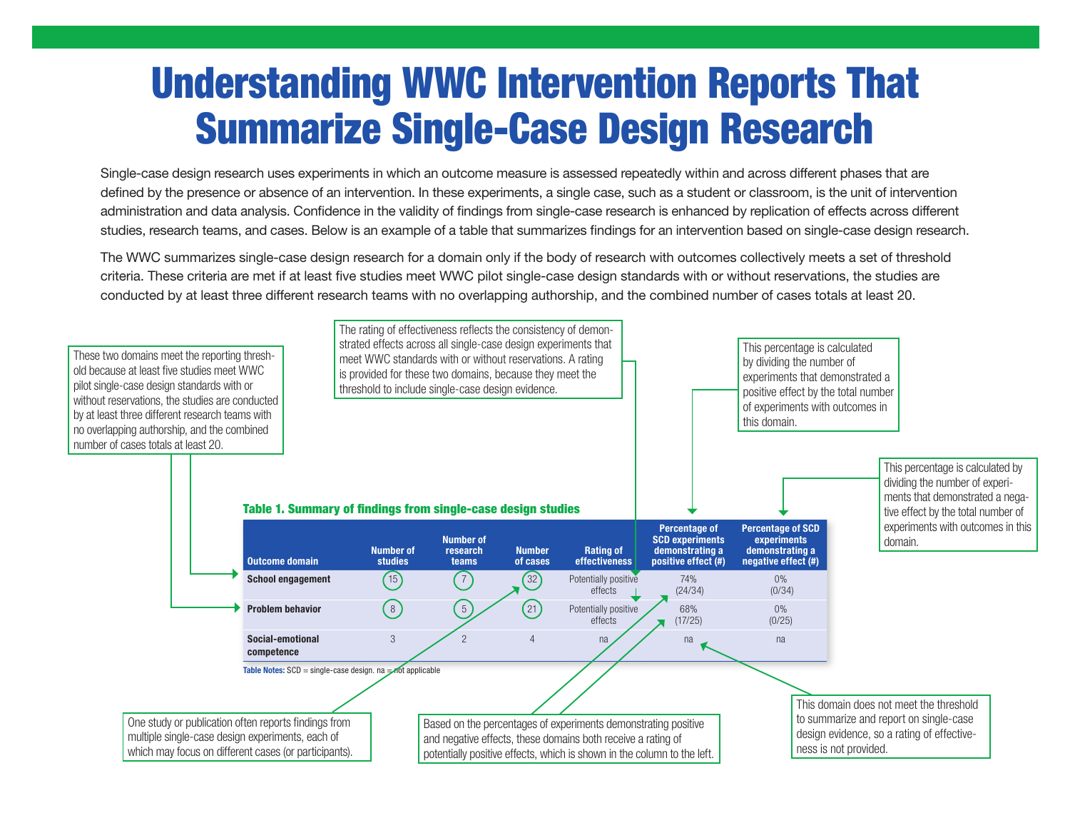## Understanding WWC Intervention Reports That Summarize Single-Case Design Research

Single-case design research uses experiments in which an outcome measure is assessed repeatedly within and across different phases that are defined by the presence or absence of an intervention. In these experiments, a single case, such as a student or classroom, is the unit of intervention administration and data analysis. Confidence in the validity of findings from single-case research is enhanced by replication of effects across different studies, research teams, and cases. Below is an example of a table that summarizes findings for an intervention based on single-case design research.

The WWC summarizes single-case design research for a domain only if the body of research with outcomes collectively meets a set of threshold criteria. These criteria are met if at least five studies meet WWC pilot single-case design standards with or without reservations, the studies are conducted by at least three different research teams with no overlapping authorship, and the combined number of cases totals at least 20.